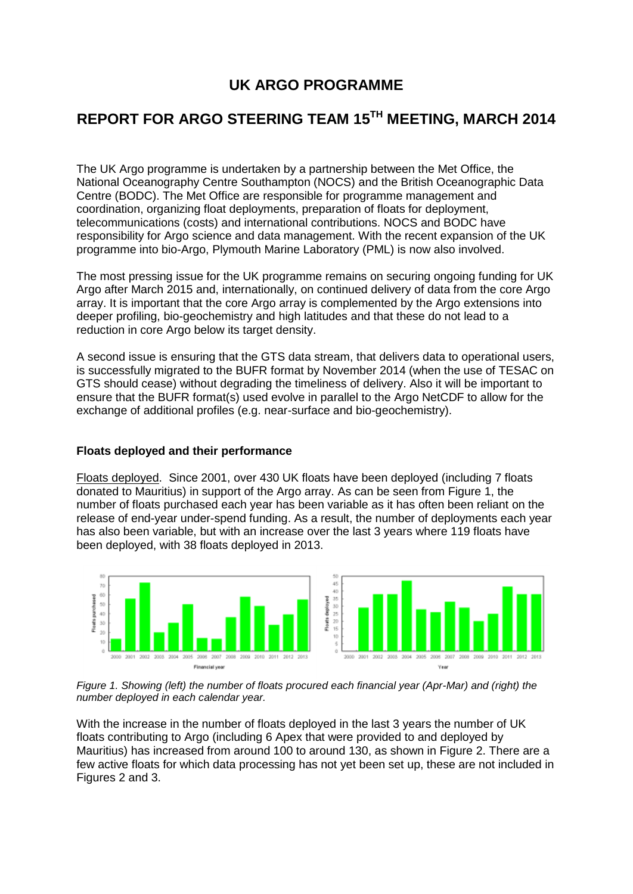# **UK ARGO PROGRAMME**

# **REPORT FOR ARGO STEERING TEAM 15 TH MEETING, MARCH 2014**

The UK Argo programme is undertaken by a partnership between the [Met Office,](http://www.metoffice.gov.uk/) the [National Oceanography Centre Southampton \(NOCS\)](http://www.noc.soton.ac.uk/) and the [British Oceanographic Data](http://www.bodc.ac.uk/)  [Centre \(BODC\).](http://www.bodc.ac.uk/) The Met Office are responsible for programme management and coordination, organizing float deployments, preparation of floats for deployment, telecommunications (costs) and international contributions. NOCS and BODC have responsibility for Argo science and data management. With the recent expansion of the UK programme into bio-Argo, Plymouth Marine Laboratory (PML) is now also involved.

The most pressing issue for the UK programme remains on securing ongoing funding for UK Argo after March 2015 and, internationally, on continued delivery of data from the core Argo array. It is important that the core Argo array is complemented by the Argo extensions into deeper profiling, bio-geochemistry and high latitudes and that these do not lead to a reduction in core Argo below its target density.

A second issue is ensuring that the GTS data stream, that delivers data to operational users, is successfully migrated to the BUFR format by November 2014 (when the use of TESAC on GTS should cease) without degrading the timeliness of delivery. Also it will be important to ensure that the BUFR format(s) used evolve in parallel to the Argo NetCDF to allow for the exchange of additional profiles (e.g. near-surface and bio-geochemistry).

## **Floats deployed and their performance**

Floats deployed. Since 2001, over 430 UK floats have been deployed (including 7 floats donated to Mauritius) in support of the Argo array. As can be seen from Figure 1, the number of floats purchased each year has been variable as it has often been reliant on the release of end-year under-spend funding. As a result, the number of deployments each year has also been variable, but with an increase over the last 3 years where 119 floats have been deployed, with 38 floats deployed in 2013.



*Figure 1. Showing (left) the number of floats procured each financial year (Apr-Mar) and (right) the number deployed in each calendar year.*

With the increase in the number of floats deployed in the last 3 years the number of UK floats contributing to Argo (including 6 Apex that were provided to and deployed by Mauritius) has increased from around 100 to around 130, as shown in Figure 2. There are a few active floats for which data processing has not yet been set up, these are not included in Figures 2 and 3.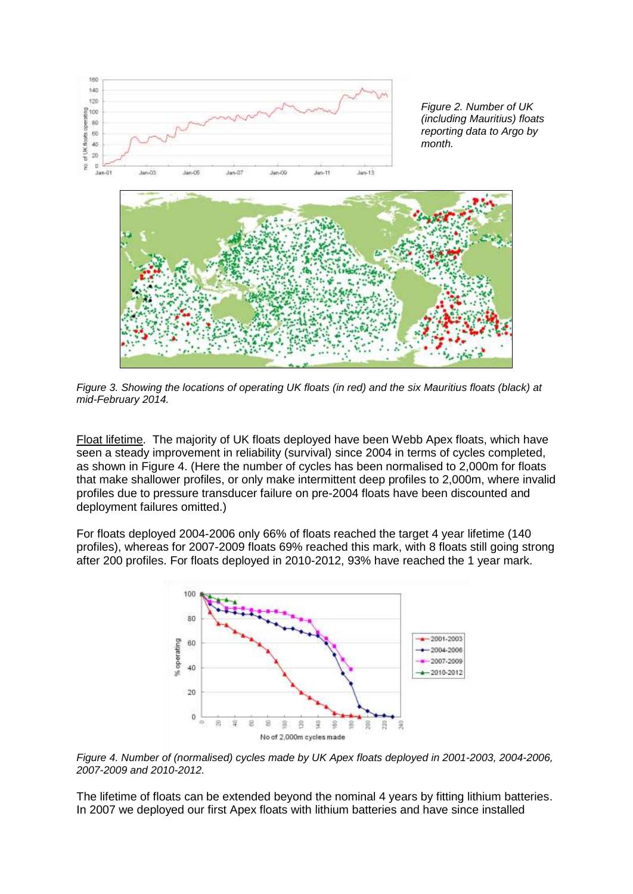

*Figure 2. Number of UK (including Mauritius) floats reporting data to Argo by month.*



*Figure 3. Showing the locations of operating UK floats (in red) and the six Mauritius floats (black) at mid-February 2014.* 

Float lifetime. The majority of UK floats deployed have been Webb Apex floats, which have seen a steady improvement in reliability (survival) since 2004 in terms of cycles completed, as shown in Figure 4. (Here the number of cycles has been normalised to 2,000m for floats that make shallower profiles, or only make intermittent deep profiles to 2,000m, where invalid profiles due to pressure transducer failure on pre-2004 floats have been discounted and deployment failures omitted.)

For floats deployed 2004-2006 only 66% of floats reached the target 4 year lifetime (140 profiles), whereas for 2007-2009 floats 69% reached this mark, with 8 floats still going strong after 200 profiles. For floats deployed in 2010-2012, 93% have reached the 1 year mark.



*Figure 4. Number of (normalised) cycles made by UK Apex floats deployed in 2001-2003, 2004-2006, 2007-2009 and 2010-2012.*

The lifetime of floats can be extended beyond the nominal 4 years by fitting lithium batteries. In 2007 we deployed our first Apex floats with lithium batteries and have since installed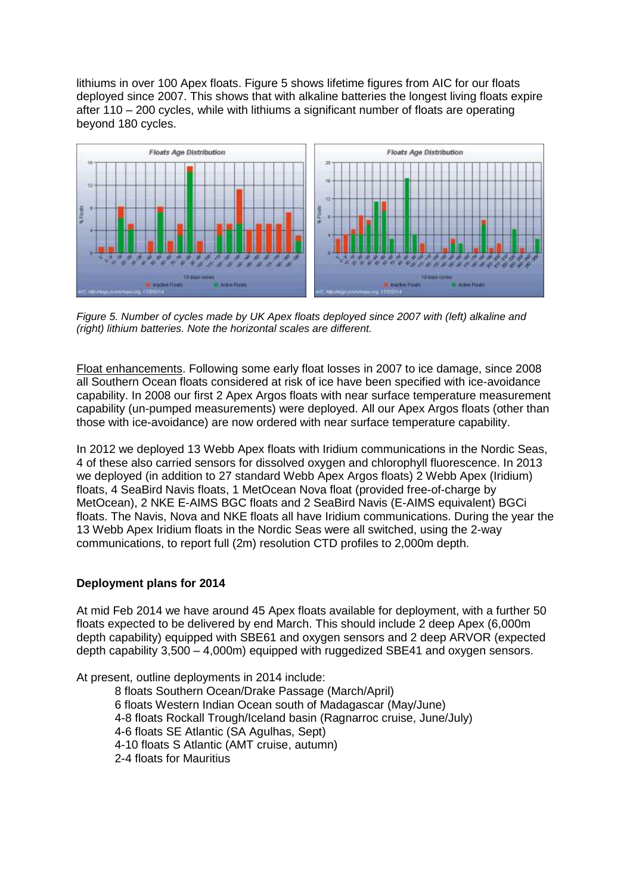lithiums in over 100 Apex floats. Figure 5 shows lifetime figures from AIC for our floats deployed since 2007. This shows that with alkaline batteries the longest living floats expire after 110 – 200 cycles, while with lithiums a significant number of floats are operating beyond 180 cycles.



*Figure 5. Number of cycles made by UK Apex floats deployed since 2007 with (left) alkaline and (right) lithium batteries. Note the horizontal scales are different.*

Float enhancements. Following some early float losses in 2007 to ice damage, since 2008 all Southern Ocean floats considered at risk of ice have been specified with ice-avoidance capability. In 2008 our first 2 Apex Argos floats with near surface temperature measurement capability (un-pumped measurements) were deployed. All our Apex Argos floats (other than those with ice-avoidance) are now ordered with near surface temperature capability.

In 2012 we deployed 13 Webb Apex floats with Iridium communications in the Nordic Seas, 4 of these also carried sensors for dissolved oxygen and chlorophyll fluorescence. In 2013 we deployed (in addition to 27 standard Webb Apex Argos floats) 2 Webb Apex (Iridium) floats, 4 SeaBird Navis floats, 1 MetOcean Nova float (provided free-of-charge by MetOcean), 2 NKE E-AIMS BGC floats and 2 SeaBird Navis (E-AIMS equivalent) BGCi floats. The Navis, Nova and NKE floats all have Iridium communications. During the year the 13 Webb Apex Iridium floats in the Nordic Seas were all switched, using the 2-way communications, to report full (2m) resolution CTD profiles to 2,000m depth.

## **Deployment plans for 2014**

At mid Feb 2014 we have around 45 Apex floats available for deployment, with a further 50 floats expected to be delivered by end March. This should include 2 deep Apex (6,000m depth capability) equipped with SBE61 and oxygen sensors and 2 deep ARVOR (expected depth capability 3,500 – 4,000m) equipped with ruggedized SBE41 and oxygen sensors.

At present, outline deployments in 2014 include: 8 floats Southern Ocean/Drake Passage (March/April) 6 floats Western Indian Ocean south of Madagascar (May/June) 4-8 floats Rockall Trough/Iceland basin (Ragnarroc cruise, June/July) 4-6 floats SE Atlantic (SA Agulhas, Sept) 4-10 floats S Atlantic (AMT cruise, autumn) 2-4 floats for Mauritius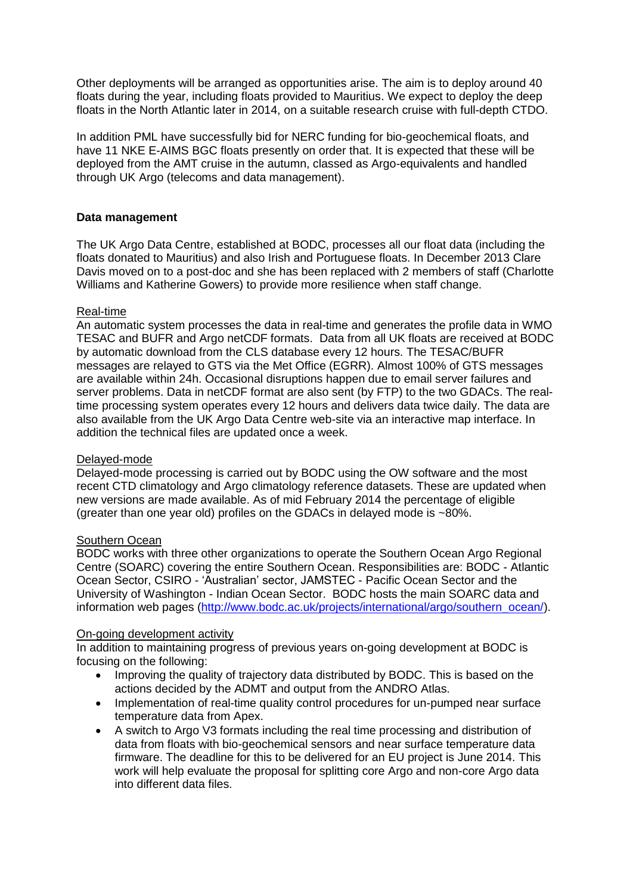Other deployments will be arranged as opportunities arise. The aim is to deploy around 40 floats during the year, including floats provided to Mauritius. We expect to deploy the deep floats in the North Atlantic later in 2014, on a suitable research cruise with full-depth CTDO.

In addition PML have successfully bid for NERC funding for bio-geochemical floats, and have 11 NKE E-AIMS BGC floats presently on order that. It is expected that these will be deployed from the AMT cruise in the autumn, classed as Argo-equivalents and handled through UK Argo (telecoms and data management).

## **Data management**

The UK Argo Data Centre, established at BODC, processes all our float data (including the floats donated to Mauritius) and also Irish and Portuguese floats. In December 2013 Clare Davis moved on to a post-doc and she has been replaced with 2 members of staff (Charlotte Williams and Katherine Gowers) to provide more resilience when staff change.

### Real-time

An automatic system processes the data in real-time and generates the profile data in WMO TESAC and BUFR and Argo netCDF formats. Data from all UK floats are received at BODC by automatic download from the CLS database every 12 hours. The TESAC/BUFR messages are relayed to GTS via the Met Office (EGRR). Almost 100% of GTS messages are available within 24h. Occasional disruptions happen due to email server failures and server problems. Data in netCDF format are also sent (by FTP) to the two GDACs. The realtime processing system operates every 12 hours and delivers data twice daily. The data are also available from the UK Argo Data Centre web-site via an interactive map interface. In addition the technical files are updated once a week.

#### Delayed-mode

Delayed-mode processing is carried out by BODC using the OW software and the most recent CTD climatology and Argo climatology reference datasets. These are updated when new versions are made available. As of mid February 2014 the percentage of eligible (greater than one year old) profiles on the GDACs in delayed mode is ~80%.

## **Southern Ocean**

BODC works with three other organizations to operate the Southern Ocean Argo Regional Centre (SOARC) covering the entire Southern Ocean. Responsibilities are: BODC - Atlantic Ocean Sector, CSIRO - 'Australian' sector, JAMSTEC - Pacific Ocean Sector and the University of Washington - Indian Ocean Sector. BODC hosts the main SOARC data and information web pages [\(http://www.bodc.ac.uk/projects/international/argo/southern\\_ocean/\)](http://www.bodc.ac.uk/projects/international/argo/southern_ocean/).

### On-going development activity

In addition to maintaining progress of previous years on-going development at BODC is focusing on the following:

- Improving the quality of trajectory data distributed by BODC. This is based on the actions decided by the ADMT and output from the ANDRO Atlas.
- Implementation of real-time quality control procedures for un-pumped near surface temperature data from Apex.
- A switch to Argo V3 formats including the real time processing and distribution of data from floats with bio-geochemical sensors and near surface temperature data firmware. The deadline for this to be delivered for an EU project is June 2014. This work will help evaluate the proposal for splitting core Argo and non-core Argo data into different data files.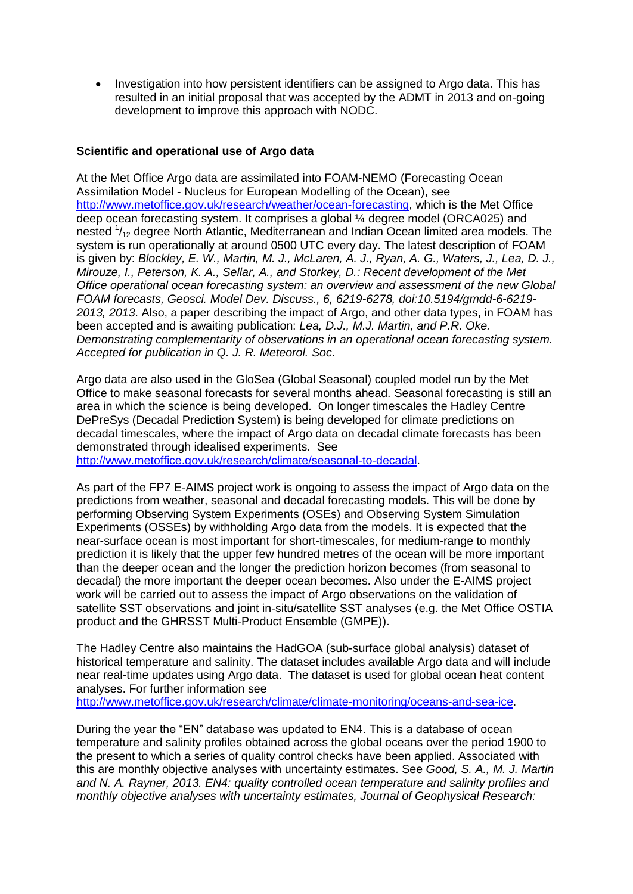Investigation into how persistent identifiers can be assigned to Argo data. This has resulted in an initial proposal that was accepted by the ADMT in 2013 and on-going development to improve this approach with NODC.

## **Scientific and operational use of Argo data**

At the Met Office Argo data are assimilated into FOAM-NEMO (Forecasting Ocean Assimilation Model - Nucleus for European Modelling of the Ocean), see [http://www.metoffice.gov.uk/research/weather/ocean-forecasting,](http://www.metoffice.gov.uk/research/weather/ocean-forecasting) which is the Met Office deep ocean forecasting system. It comprises a global ¼ degree model (ORCA025) and nested  $\frac{1}{12}$  degree North Atlantic, Mediterranean and Indian Ocean limited area models. The system is run operationally at around 0500 UTC every day. The latest description of FOAM is given by: *Blockley, E. W., Martin, M. J., McLaren, A. J., Ryan, A. G., Waters, J., Lea, D. J., Mirouze, I., Peterson, K. A., Sellar, A., and Storkey, D.: Recent development of the Met Office operational ocean forecasting system: an overview and assessment of the new Global FOAM forecasts, Geosci. Model Dev. Discuss., 6, 6219-6278, doi:10.5194/gmdd-6-6219- 2013, 2013*. Also, a paper describing the impact of Argo, and other data types, in FOAM has been accepted and is awaiting publication: *Lea, D.J., M.J. Martin, and P.R. Oke. Demonstrating complementarity of observations in an operational ocean forecasting system. Accepted for publication in Q. J. R. Meteorol. Soc*.

Argo data are also used in the GloSea (Global Seasonal) coupled model run by the Met Office to make seasonal forecasts for several months ahead. Seasonal forecasting is still an area in which the science is being developed. On longer timescales the Hadley Centre DePreSys (Decadal Prediction System) is being developed for climate predictions on decadal timescales, where the impact of Argo data on decadal climate forecasts has been demonstrated through idealised experiments. See

[http://www.metoffice.gov.uk/research/climate/seasonal-to-decadal.](http://www.metoffice.gov.uk/research/climate/seasonal-to-decadal)

As part of the FP7 E-AIMS project work is ongoing to assess the impact of Argo data on the predictions from weather, seasonal and decadal forecasting models. This will be done by performing Observing System Experiments (OSEs) and Observing System Simulation Experiments (OSSEs) by withholding Argo data from the models. It is expected that the near-surface ocean is most important for short-timescales, for medium-range to monthly prediction it is likely that the upper few hundred metres of the ocean will be more important than the deeper ocean and the longer the prediction horizon becomes (from seasonal to decadal) the more important the deeper ocean becomes. Also under the E-AIMS project work will be carried out to assess the impact of Argo observations on the validation of satellite SST observations and joint in-situ/satellite SST analyses (e.g. the Met Office OSTIA product and the GHRSST Multi-Product Ensemble (GMPE)).

The Hadley Centre also maintains the [HadGOA](http://www.hadobs.org/) (sub-surface global analysis) dataset of historical temperature and salinity. The dataset includes available Argo data and will include near real-time updates using Argo data. The dataset is used for global ocean heat content analyses. For further information see

[http://www.metoffice.gov.uk/research/climate/climate-monitoring/oceans-and-sea-ice.](http://www.metoffice.gov.uk/research/climate/climate-monitoring/oceans-and-sea-ice)

During the year the "EN" database was updated to EN4. This is a database of ocean temperature and salinity profiles obtained across the global oceans over the period 1900 to the present to which a series of quality control checks have been applied. Associated with this are monthly objective analyses with uncertainty estimates. See *Good, S. A., M. J. Martin and N. A. Rayner, 2013. EN4: quality controlled ocean temperature and salinity profiles and monthly objective analyses with uncertainty estimates, Journal of Geophysical Research:*